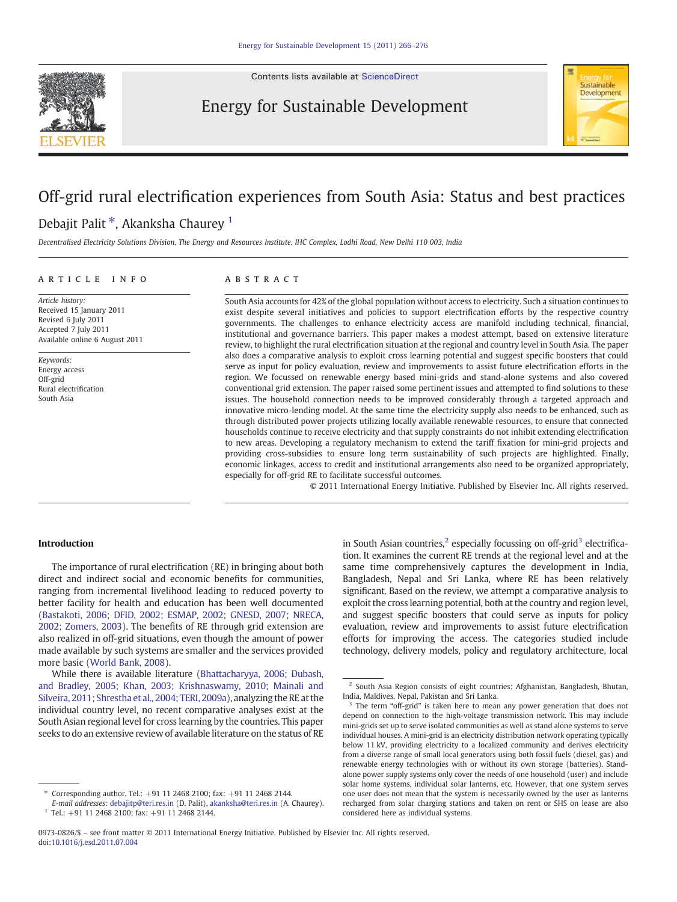Contents lists available at [ScienceDirect](http://www.sciencedirect.com/science/journal/00000000)

Energy for Sustainable Development



# Off-grid rural electrification experiences from South Asia: Status and best practices

# Debajit Palit<sup>\*</sup>, Akanksha Chaurev<sup>1</sup>

Decentralised Electricity Solutions Division, The Energy and Resources Institute, IHC Complex, Lodhi Road, New Delhi 110 003, India

### article info abstract

Article history: Received 15 January 2011 Revised 6 July 2011 Accepted 7 July 2011 Available online 6 August 2011

Keywords: Energy access Off-grid Rural electrification South Asia

South Asia accounts for 42% of the global population without access to electricity. Such a situation continues to exist despite several initiatives and policies to support electrification efforts by the respective country governments. The challenges to enhance electricity access are manifold including technical, financial, institutional and governance barriers. This paper makes a modest attempt, based on extensive literature review, to highlight the rural electrification situation at the regional and country level in South Asia. The paper also does a comparative analysis to exploit cross learning potential and suggest specific boosters that could serve as input for policy evaluation, review and improvements to assist future electrification efforts in the region. We focussed on renewable energy based mini-grids and stand-alone systems and also covered conventional grid extension. The paper raised some pertinent issues and attempted to find solutions to these issues. The household connection needs to be improved considerably through a targeted approach and innovative micro-lending model. At the same time the electricity supply also needs to be enhanced, such as through distributed power projects utilizing locally available renewable resources, to ensure that connected households continue to receive electricity and that supply constraints do not inhibit extending electrification to new areas. Developing a regulatory mechanism to extend the tariff fixation for mini-grid projects and providing cross-subsidies to ensure long term sustainability of such projects are highlighted. Finally, economic linkages, access to credit and institutional arrangements also need to be organized appropriately, especially for off-grid RE to facilitate successful outcomes.

© 2011 International Energy Initiative. Published by Elsevier Inc. All rights reserved.

# Introduction

The importance of rural electrification (RE) in bringing about both direct and indirect social and economic benefits for communities, ranging from incremental livelihood leading to reduced poverty to better facility for health and education has been well documented [\(Bastakoti, 2006; DFID, 2002; ESMAP, 2002; GNESD, 2007; NRECA,](#page-9-0) [2002; Zomers, 2003](#page-9-0)). The benefits of RE through grid extension are also realized in off-grid situations, even though the amount of power made available by such systems are smaller and the services provided more basic [\(World Bank, 2008](#page-10-0)).

While there is available literature [\(Bhattacharyya, 2006; Dubash,](#page-9-0) [and Bradley, 2005; Khan, 2003; Krishnaswamy, 2010; Mainali and](#page-9-0) [Silveira, 2011; Shrestha et al., 2004; TERI, 2009a](#page-9-0)), analyzing the RE at the individual country level, no recent comparative analyses exist at the South Asian regional level for cross learning by the countries. This paper seeks to do an extensive review of available literature on the status of RE in South Asian countries,<sup>2</sup> especially focussing on off-grid<sup>3</sup> electrification. It examines the current RE trends at the regional level and at the same time comprehensively captures the development in India, Bangladesh, Nepal and Sri Lanka, where RE has been relatively significant. Based on the review, we attempt a comparative analysis to exploit the cross learning potential, both at the country and region level, and suggest specific boosters that could serve as inputs for policy evaluation, review and improvements to assist future electrification efforts for improving the access. The categories studied include technology, delivery models, policy and regulatory architecture, local

<sup>⁎</sup> Corresponding author. Tel.: +91 11 2468 2100; fax: +91 11 2468 2144.

E-mail addresses: [debajitp@teri.res.in](mailto:debajitp@teri.res.in) (D. Palit), [akanksha@teri.res.in](mailto:akanksha@teri.res.in) (A. Chaurey).

 $1$  Tel.: +91 11 2468 2100; fax: +91 11 2468 2144.

<sup>0973-0826/\$</sup> – see front matter © 2011 International Energy Initiative. Published by Elsevier Inc. All rights reserved. doi[:10.1016/j.esd.2011.07.004](http://dx.doi.org/10.1016/j.esd.2011.07.004)

<sup>&</sup>lt;sup>2</sup> South Asia Region consists of eight countries: Afghanistan, Bangladesh, Bhutan, India, Maldives, Nepal, Pakistan and Sri Lanka.

 $3$  The term "off-grid" is taken here to mean any power generation that does not depend on connection to the high-voltage transmission network. This may include mini-grids set up to serve isolated communities as well as stand alone systems to serve individual houses. A mini-grid is an electricity distribution network operating typically below 11 kV, providing electricity to a localized community and derives electricity from a diverse range of small local generators using both fossil fuels (diesel, gas) and renewable energy technologies with or without its own storage (batteries). Standalone power supply systems only cover the needs of one household (user) and include solar home systems, individual solar lanterns, etc. However, that one system serves one user does not mean that the system is necessarily owned by the user as lanterns recharged from solar charging stations and taken on rent or SHS on lease are also considered here as individual systems.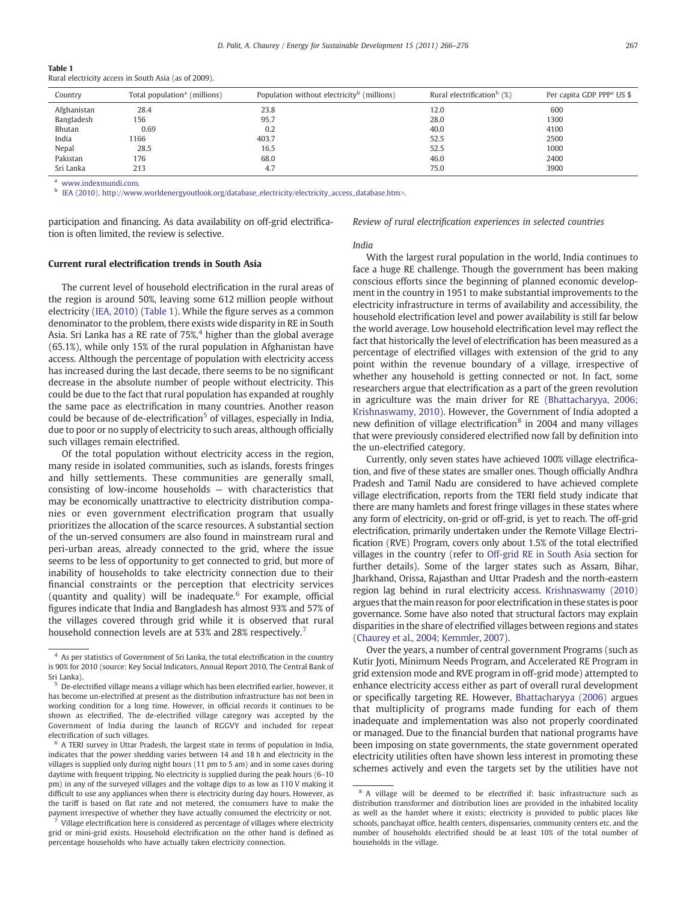<span id="page-1-0"></span>

| Table 1 |                                                      |
|---------|------------------------------------------------------|
|         | Rural electricity access in South Asia (as of 2009). |

| Country     | Total population <sup>a</sup> (millions) | Population without electricity <sup>b</sup> (millions) | Rural electrification <sup>b</sup> $(\%)$ | Per capita GDP PPP <sup>a</sup> US \$ |
|-------------|------------------------------------------|--------------------------------------------------------|-------------------------------------------|---------------------------------------|
| Afghanistan | 28.4                                     | 23.8                                                   | 12.0                                      | 600                                   |
| Bangladesh  | 156                                      | 95.7                                                   | 28.0                                      | 1300                                  |
| Bhutan      | 0.69                                     | 0.2                                                    | 40.0                                      | 4100                                  |
| India       | 1166                                     | 403.7                                                  | 52.5                                      | 2500                                  |
| Nepal       | 28.5                                     | 16.5                                                   | 52.5                                      | 1000                                  |
| Pakistan    | 176                                      | 68.0                                                   | 46.0                                      | 2400                                  |
| Sri Lanka   | 213                                      | 4.7                                                    | 75.0                                      | 3900                                  |

<sup>a</sup> [www.indexmundi.com](http://www.worldenergyoutlook.org/database_electricity/electricity_access_database.htm).

b [IEA \(2010\).](#page-10-0) [http://www.worldenergyoutlook.org/database\\_electricity/electricity\\_access\\_database.htm](http://www.worldenergyoutlook.org/database_electricity/electricity_access_database.htm)>.

participation and financing. As data availability on off-grid electrification is often limited, the review is selective.

# Review of rural electrification experiences in selected countries

### Current rural electrification trends in South Asia

The current level of household electrification in the rural areas of the region is around 50%, leaving some 612 million people without electricity [\(IEA, 2010](#page-10-0)) (Table 1). While the figure serves as a common denominator to the problem, there exists wide disparity in RE in South Asia. Sri Lanka has a RE rate of  $75\%$ <sup>4</sup> higher than the global average (65.1%), while only 15% of the rural population in Afghanistan have access. Although the percentage of population with electricity access has increased during the last decade, there seems to be no significant decrease in the absolute number of people without electricity. This could be due to the fact that rural population has expanded at roughly the same pace as electrification in many countries. Another reason could be because of de-electrification<sup>5</sup> of villages, especially in India, due to poor or no supply of electricity to such areas, although officially such villages remain electrified.

Of the total population without electricity access in the region, many reside in isolated communities, such as islands, forests fringes and hilly settlements. These communities are generally small, consisting of low-income households — with characteristics that may be economically unattractive to electricity distribution companies or even government electrification program that usually prioritizes the allocation of the scarce resources. A substantial section of the un-served consumers are also found in mainstream rural and peri-urban areas, already connected to the grid, where the issue seems to be less of opportunity to get connected to grid, but more of inability of households to take electricity connection due to their financial constraints or the perception that electricity services (quantity and quality) will be inadequate. $6$  For example, official figures indicate that India and Bangladesh has almost 93% and 57% of the villages covered through grid while it is observed that rural household connection levels are at 53% and 28% respectively.<sup>7</sup>

India

With the largest rural population in the world, India continues to face a huge RE challenge. Though the government has been making conscious efforts since the beginning of planned economic development in the country in 1951 to make substantial improvements to the electricity infrastructure in terms of availability and accessibility, the household electrification level and power availability is still far below the world average. Low household electrification level may reflect the fact that historically the level of electrification has been measured as a percentage of electrified villages with extension of the grid to any point within the revenue boundary of a village, irrespective of whether any household is getting connected or not. In fact, some researchers argue that electrification as a part of the green revolution in agriculture was the main driver for RE [\(Bhattacharyya, 2006;](#page-9-0) [Krishnaswamy, 2010\)](#page-9-0). However, the Government of India adopted a new definition of village electrification $8$  in 2004 and many villages that were previously considered electrified now fall by definition into the un-electrified category.

Currently, only seven states have achieved 100% village electrification, and five of these states are smaller ones. Though officially Andhra Pradesh and Tamil Nadu are considered to have achieved complete village electrification, reports from the TERI field study indicate that there are many hamlets and forest fringe villages in these states where any form of electricity, on-grid or off-grid, is yet to reach. The off-grid electrification, primarily undertaken under the Remote Village Electrification (RVE) Program, covers only about 1.5% of the total electrified villages in the country (refer to [Off-grid RE in South Asia](#page-3-0) section for further details). Some of the larger states such as Assam, Bihar, Jharkhand, Orissa, Rajasthan and Uttar Pradesh and the north-eastern region lag behind in rural electricity access. [Krishnaswamy \(2010\)](#page-10-0) argues that the main reason for poor electrification in these states is poor governance. Some have also noted that structural factors may explain disparities in the share of electrified villages between regions and states [\(Chaurey et al., 2004; Kemmler, 2007\)](#page-9-0).

Over the years, a number of central government Programs (such as Kutir Jyoti, Minimum Needs Program, and Accelerated RE Program in grid extension mode and RVE program in off-grid mode) attempted to enhance electricity access either as part of overall rural development or specifically targeting RE. However, [Bhattacharyya \(2006\)](#page-9-0) argues that multiplicity of programs made funding for each of them inadequate and implementation was also not properly coordinated or managed. Due to the financial burden that national programs have been imposing on state governments, the state government operated electricity utilities often have shown less interest in promoting these schemes actively and even the targets set by the utilities have not

<sup>4</sup> As per statistics of Government of Sri Lanka, the total electrification in the country is 90% for 2010 (source: Key Social Indicators, Annual Report 2010, The Central Bank of Sri Lanka).

<sup>5</sup> De-electrified village means a village which has been electrified earlier, however, it has become un-electrified at present as the distribution infrastructure has not been in working condition for a long time. However, in official records it continues to be shown as electrified. The de-electrified village category was accepted by the Government of India during the launch of RGGVY and included for repeat electrification of such villages.

<sup>6</sup> A TERI survey in Uttar Pradesh, the largest state in terms of population in India, indicates that the power shedding varies between 14 and 18 h and electricity in the villages is supplied only during night hours (11 pm to 5 am) and in some cases during daytime with frequent tripping. No electricity is supplied during the peak hours (6–10 pm) in any of the surveyed villages and the voltage dips to as low as 110 V making it difficult to use any appliances when there is electricity during day hours. However, as the tariff is based on flat rate and not metered, the consumers have to make the payment irrespective of whether they have actually consumed the electricity or not.

Village electrification here is considered as percentage of villages where electricity grid or mini-grid exists. Household electrification on the other hand is defined as percentage households who have actually taken electricity connection.

<sup>8</sup> A village will be deemed to be electrified if: basic infrastructure such as distribution transformer and distribution lines are provided in the inhabited locality as well as the hamlet where it exists; electricity is provided to public places like schools, panchayat office, health centers, dispensaries, community centers etc. and the number of households electrified should be at least 10% of the total number of households in the village.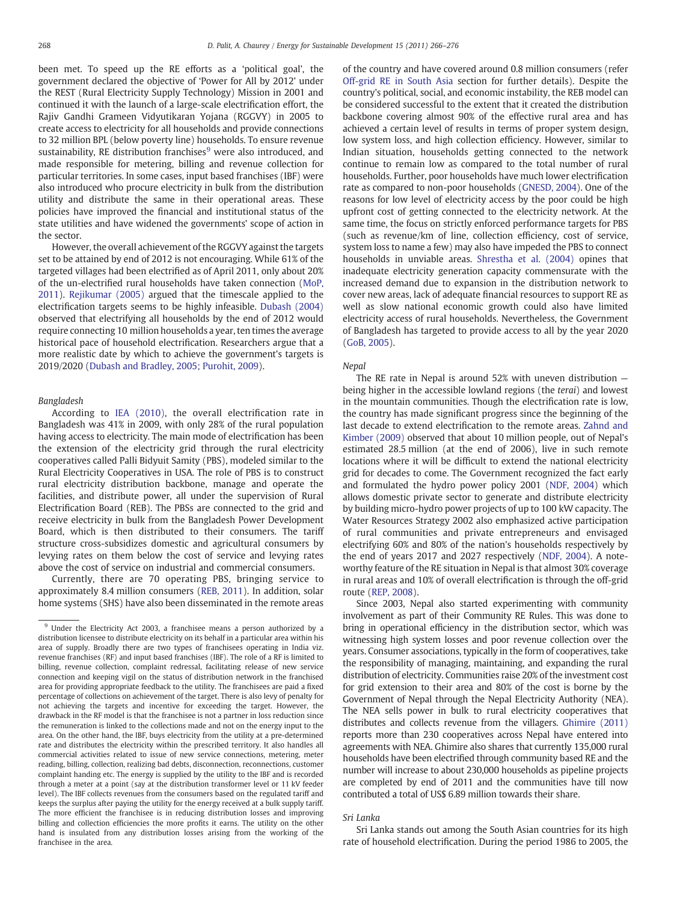been met. To speed up the RE efforts as a 'political goal', the government declared the objective of 'Power for All by 2012' under the REST (Rural Electricity Supply Technology) Mission in 2001 and continued it with the launch of a large-scale electrification effort, the Rajiv Gandhi Grameen Vidyutikaran Yojana (RGGVY) in 2005 to create access to electricity for all households and provide connections to 32 million BPL (below poverty line) households. To ensure revenue sustainability, RE distribution franchises<sup>9</sup> were also introduced, and made responsible for metering, billing and revenue collection for particular territories. In some cases, input based franchises (IBF) were also introduced who procure electricity in bulk from the distribution utility and distribute the same in their operational areas. These policies have improved the financial and institutional status of the state utilities and have widened the governments' scope of action in the sector.

However, the overall achievement of the RGGVY against the targets set to be attained by end of 2012 is not encouraging. While 61% of the targeted villages had been electrified as of April 2011, only about 20% of the un-electrified rural households have taken connection ([MoP,](#page-10-0) [2011\)](#page-10-0). [Rejikumar \(2005\)](#page-10-0) argued that the timescale applied to the electrification targets seems to be highly infeasible. [Dubash \(2004\)](#page-9-0) observed that electrifying all households by the end of 2012 would require connecting 10 million households a year, ten times the average historical pace of household electrification. Researchers argue that a more realistic date by which to achieve the government's targets is 2019/2020 ([Dubash and Bradley, 2005; Purohit, 2009\)](#page-9-0).

#### Bangladesh

According to [IEA \(2010\)](#page-10-0), the overall electrification rate in Bangladesh was 41% in 2009, with only 28% of the rural population having access to electricity. The main mode of electrification has been the extension of the electricity grid through the rural electricity cooperatives called Palli Bidyuit Samity (PBS), modeled similar to the Rural Electricity Cooperatives in USA. The role of PBS is to construct rural electricity distribution backbone, manage and operate the facilities, and distribute power, all under the supervision of Rural Electrification Board (REB). The PBSs are connected to the grid and receive electricity in bulk from the Bangladesh Power Development Board, which is then distributed to their consumers. The tariff structure cross-subsidizes domestic and agricultural consumers by levying rates on them below the cost of service and levying rates above the cost of service on industrial and commercial consumers.

Currently, there are 70 operating PBS, bringing service to approximately 8.4 million consumers ([REB, 2011\)](#page-10-0). In addition, solar home systems (SHS) have also been disseminated in the remote areas of the country and have covered around 0.8 million consumers (refer [Off-grid RE in South Asia](#page-3-0) section for further details). Despite the country's political, social, and economic instability, the REB model can be considered successful to the extent that it created the distribution backbone covering almost 90% of the effective rural area and has achieved a certain level of results in terms of proper system design, low system loss, and high collection efficiency. However, similar to Indian situation, households getting connected to the network continue to remain low as compared to the total number of rural households. Further, poor households have much lower electrification rate as compared to non-poor households ([GNESD, 2004](#page-10-0)). One of the reasons for low level of electricity access by the poor could be high upfront cost of getting connected to the electricity network. At the same time, the focus on strictly enforced performance targets for PBS (such as revenue/km of line, collection efficiency, cost of service, system loss to name a few) may also have impeded the PBS to connect households in unviable areas. [Shrestha et al. \(2004\)](#page-10-0) opines that inadequate electricity generation capacity commensurate with the increased demand due to expansion in the distribution network to cover new areas, lack of adequate financial resources to support RE as well as slow national economic growth could also have limited electricity access of rural households. Nevertheless, the Government of Bangladesh has targeted to provide access to all by the year 2020 [\(GoB, 2005](#page-10-0)).

#### Nepal

The RE rate in Nepal is around 52% with uneven distribution being higher in the accessible lowland regions (the terai) and lowest in the mountain communities. Though the electrification rate is low, the country has made significant progress since the beginning of the last decade to extend electrification to the remote areas. [Zahnd and](#page-10-0) [Kimber \(2009\)](#page-10-0) observed that about 10 million people, out of Nepal's estimated 28.5 million (at the end of 2006), live in such remote locations where it will be difficult to extend the national electricity grid for decades to come. The Government recognized the fact early and formulated the hydro power policy 2001 ([NDF, 2004\)](#page-10-0) which allows domestic private sector to generate and distribute electricity by building micro-hydro power projects of up to 100 kW capacity. The Water Resources Strategy 2002 also emphasized active participation of rural communities and private entrepreneurs and envisaged electrifying 60% and 80% of the nation's households respectively by the end of years 2017 and 2027 respectively [\(NDF, 2004](#page-10-0)). A noteworthy feature of the RE situation in Nepal is that almost 30% coverage in rural areas and 10% of overall electrification is through the off-grid route [\(REP, 2008](#page-10-0)).

Since 2003, Nepal also started experimenting with community involvement as part of their Community RE Rules. This was done to bring in operational efficiency in the distribution sector, which was witnessing high system losses and poor revenue collection over the years. Consumer associations, typically in the form of cooperatives, take the responsibility of managing, maintaining, and expanding the rural distribution of electricity. Communities raise 20% of the investment cost for grid extension to their area and 80% of the cost is borne by the Government of Nepal through the Nepal Electricity Authority (NEA). The NEA sells power in bulk to rural electricity cooperatives that distributes and collects revenue from the villagers. [Ghimire \(2011\)](#page-10-0) reports more than 230 cooperatives across Nepal have entered into agreements with NEA. Ghimire also shares that currently 135,000 rural households have been electrified through community based RE and the number will increase to about 230,000 households as pipeline projects are completed by end of 2011 and the communities have till now contributed a total of US\$ 6.89 million towards their share.

# Sri Lanka

Sri Lanka stands out among the South Asian countries for its high rate of household electrification. During the period 1986 to 2005, the

<sup>&</sup>lt;sup>9</sup> Under the Electricity Act 2003, a franchisee means a person authorized by a distribution licensee to distribute electricity on its behalf in a particular area within his area of supply. Broadly there are two types of franchisees operating in India viz. revenue franchises (RF) and input based franchises (IBF). The role of a RF is limited to billing, revenue collection, complaint redressal, facilitating release of new service connection and keeping vigil on the status of distribution network in the franchised area for providing appropriate feedback to the utility. The franchisees are paid a fixed percentage of collections on achievement of the target. There is also levy of penalty for not achieving the targets and incentive for exceeding the target. However, the drawback in the RF model is that the franchisee is not a partner in loss reduction since the remuneration is linked to the collections made and not on the energy input to the area. On the other hand, the IBF, buys electricity from the utility at a pre-determined rate and distributes the electricity within the prescribed territory. It also handles all commercial activities related to issue of new service connections, metering, meter reading, billing, collection, realizing bad debts, disconnection, reconnections, customer complaint handing etc. The energy is supplied by the utility to the IBF and is recorded through a meter at a point (say at the distribution transformer level or 11 kV feeder level). The IBF collects revenues from the consumers based on the regulated tariff and keeps the surplus after paying the utility for the energy received at a bulk supply tariff. The more efficient the franchisee is in reducing distribution losses and improving billing and collection efficiencies the more profits it earns. The utility on the other hand is insulated from any distribution losses arising from the working of the franchisee in the area.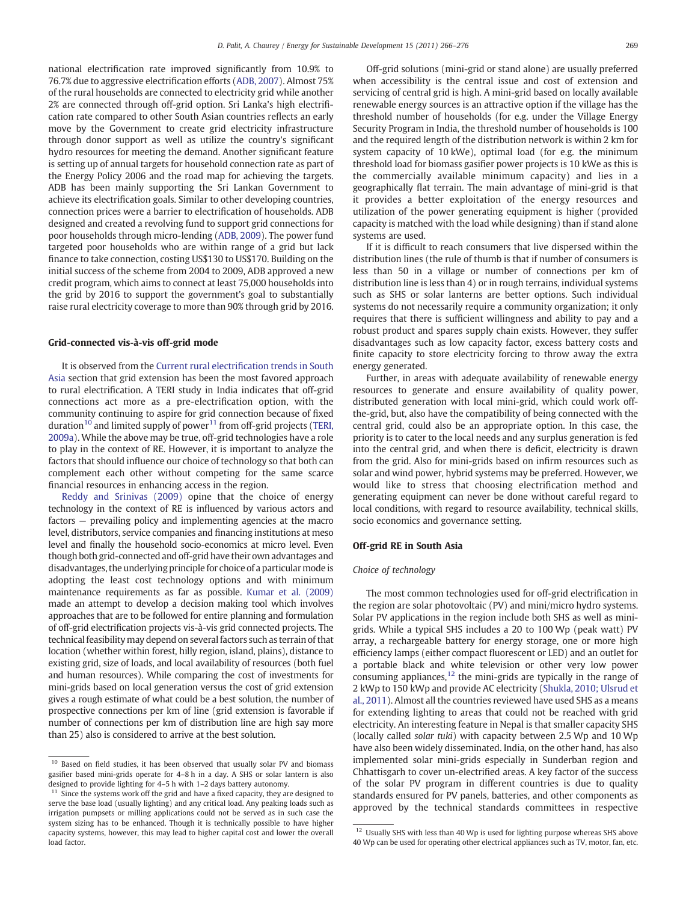<span id="page-3-0"></span>national electrification rate improved significantly from 10.9% to 76.7% due to aggressive electrification efforts [\(ADB, 2007](#page-9-0)). Almost 75% of the rural households are connected to electricity grid while another 2% are connected through off-grid option. Sri Lanka's high electrification rate compared to other South Asian countries reflects an early move by the Government to create grid electricity infrastructure through donor support as well as utilize the country's significant hydro resources for meeting the demand. Another significant feature is setting up of annual targets for household connection rate as part of the Energy Policy 2006 and the road map for achieving the targets. ADB has been mainly supporting the Sri Lankan Government to achieve its electrification goals. Similar to other developing countries, connection prices were a barrier to electrification of households. ADB designed and created a revolving fund to support grid connections for poor households through micro-lending [\(ADB, 2009\)](#page-9-0). The power fund targeted poor households who are within range of a grid but lack finance to take connection, costing US\$130 to US\$170. Building on the initial success of the scheme from 2004 to 2009, ADB approved a new credit program, which aims to connect at least 75,000 households into the grid by 2016 to support the government's goal to substantially raise rural electricity coverage to more than 90% through grid by 2016.

### Grid-connected vis-à-vis off-grid mode

It is observed from the Current rural electrifi[cation trends in South](#page-1-0) [Asia](#page-1-0) section that grid extension has been the most favored approach to rural electrification. A TERI study in India indicates that off-grid connections act more as a pre-electrification option, with the community continuing to aspire for grid connection because of fixed duration<sup>10</sup> and limited supply of power<sup>11</sup> from off-grid projects ([TERI,](#page-10-0) [2009a\)](#page-10-0). While the above may be true, off-grid technologies have a role to play in the context of RE. However, it is important to analyze the factors that should influence our choice of technology so that both can complement each other without competing for the same scarce financial resources in enhancing access in the region.

[Reddy and Srinivas \(2009\)](#page-10-0) opine that the choice of energy technology in the context of RE is influenced by various actors and factors — prevailing policy and implementing agencies at the macro level, distributors, service companies and financing institutions at meso level and finally the household socio-economics at micro level. Even though both grid-connected and off-grid have their own advantages and disadvantages, the underlying principle for choice of a particularmode is adopting the least cost technology options and with minimum maintenance requirements as far as possible. [Kumar et al. \(2009\)](#page-10-0) made an attempt to develop a decision making tool which involves approaches that are to be followed for entire planning and formulation of off-grid electrification projects vis-à-vis grid connected projects. The technical feasibility may depend on several factors such as terrain of that location (whether within forest, hilly region, island, plains), distance to existing grid, size of loads, and local availability of resources (both fuel and human resources). While comparing the cost of investments for mini-grids based on local generation versus the cost of grid extension gives a rough estimate of what could be a best solution, the number of prospective connections per km of line (grid extension is favorable if number of connections per km of distribution line are high say more than 25) also is considered to arrive at the best solution.

Off-grid solutions (mini-grid or stand alone) are usually preferred when accessibility is the central issue and cost of extension and servicing of central grid is high. A mini-grid based on locally available renewable energy sources is an attractive option if the village has the threshold number of households (for e.g. under the Village Energy Security Program in India, the threshold number of households is 100 and the required length of the distribution network is within 2 km for system capacity of 10 kWe), optimal load (for e.g. the minimum threshold load for biomass gasifier power projects is 10 kWe as this is the commercially available minimum capacity) and lies in a geographically flat terrain. The main advantage of mini-grid is that it provides a better exploitation of the energy resources and utilization of the power generating equipment is higher (provided capacity is matched with the load while designing) than if stand alone systems are used.

If it is difficult to reach consumers that live dispersed within the distribution lines (the rule of thumb is that if number of consumers is less than 50 in a village or number of connections per km of distribution line is less than 4) or in rough terrains, individual systems such as SHS or solar lanterns are better options. Such individual systems do not necessarily require a community organization; it only requires that there is sufficient willingness and ability to pay and a robust product and spares supply chain exists. However, they suffer disadvantages such as low capacity factor, excess battery costs and finite capacity to store electricity forcing to throw away the extra energy generated.

Further, in areas with adequate availability of renewable energy resources to generate and ensure availability of quality power, distributed generation with local mini-grid, which could work offthe-grid, but, also have the compatibility of being connected with the central grid, could also be an appropriate option. In this case, the priority is to cater to the local needs and any surplus generation is fed into the central grid, and when there is deficit, electricity is drawn from the grid. Also for mini-grids based on infirm resources such as solar and wind power, hybrid systems may be preferred. However, we would like to stress that choosing electrification method and generating equipment can never be done without careful regard to local conditions, with regard to resource availability, technical skills, socio economics and governance setting.

#### Off-grid RE in South Asia

#### Choice of technology

The most common technologies used for off-grid electrification in the region are solar photovoltaic (PV) and mini/micro hydro systems. Solar PV applications in the region include both SHS as well as minigrids. While a typical SHS includes a 20 to 100 Wp (peak watt) PV array, a rechargeable battery for energy storage, one or more high efficiency lamps (either compact fluorescent or LED) and an outlet for a portable black and white television or other very low power consuming appliances, $12$  the mini-grids are typically in the range of 2 kWp to 150 kWp and provide AC electricity [\(Shukla, 2010; Ulsrud et](#page-10-0) [al., 2011](#page-10-0)). Almost all the countries reviewed have used SHS as a means for extending lighting to areas that could not be reached with grid electricity. An interesting feature in Nepal is that smaller capacity SHS (locally called solar tuki) with capacity between 2.5 Wp and 10 Wp have also been widely disseminated. India, on the other hand, has also implemented solar mini-grids especially in Sunderban region and Chhattisgarh to cover un-electrified areas. A key factor of the success of the solar PV program in different countries is due to quality standards ensured for PV panels, batteries, and other components as approved by the technical standards committees in respective

<sup>&</sup>lt;sup>10</sup> Based on field studies, it has been observed that usually solar PV and biomass gasifier based mini-grids operate for 4–8 h in a day. A SHS or solar lantern is also designed to provide lighting for 4–5 h with 1–2 days battery autonomy.

Since the systems work off the grid and have a fixed capacity, they are designed to serve the base load (usually lighting) and any critical load. Any peaking loads such as irrigation pumpsets or milling applications could not be served as in such case the system sizing has to be enhanced. Though it is technically possible to have higher capacity systems, however, this may lead to higher capital cost and lower the overall load factor.

 $12$  Usually SHS with less than 40 Wp is used for lighting purpose whereas SHS above 40 Wp can be used for operating other electrical appliances such as TV, motor, fan, etc.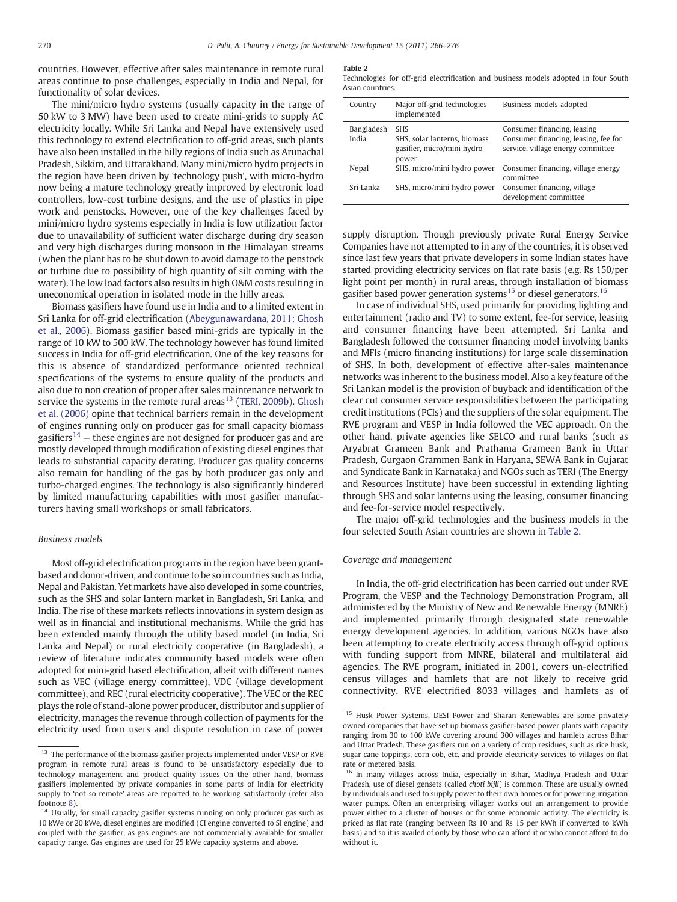countries. However, effective after sales maintenance in remote rural areas continue to pose challenges, especially in India and Nepal, for functionality of solar devices.

The mini/micro hydro systems (usually capacity in the range of 50 kW to 3 MW) have been used to create mini-grids to supply AC electricity locally. While Sri Lanka and Nepal have extensively used this technology to extend electrification to off-grid areas, such plants have also been installed in the hilly regions of India such as Arunachal Pradesh, Sikkim, and Uttarakhand. Many mini/micro hydro projects in the region have been driven by 'technology push', with micro-hydro now being a mature technology greatly improved by electronic load controllers, low-cost turbine designs, and the use of plastics in pipe work and penstocks. However, one of the key challenges faced by mini/micro hydro systems especially in India is low utilization factor due to unavailability of sufficient water discharge during dry season and very high discharges during monsoon in the Himalayan streams (when the plant has to be shut down to avoid damage to the penstock or turbine due to possibility of high quantity of silt coming with the water). The low load factors also results in high O&M costs resulting in uneconomical operation in isolated mode in the hilly areas.

Biomass gasifiers have found use in India and to a limited extent in Sri Lanka for off-grid electrification ([Abeygunawardana, 2011; Ghosh](#page-9-0) [et al., 2006\)](#page-9-0). Biomass gasifier based mini-grids are typically in the range of 10 kW to 500 kW. The technology however has found limited success in India for off-grid electrification. One of the key reasons for this is absence of standardized performance oriented technical specifications of the systems to ensure quality of the products and also due to non creation of proper after sales maintenance network to service the systems in the remote rural areas $<sup>13</sup>$  [\(TERI, 2009b](#page-10-0)). [Ghosh](#page-10-0)</sup> [et al. \(2006\)](#page-10-0) opine that technical barriers remain in the development of engines running only on producer gas for small capacity biomass gasifiers<sup>14</sup>  $-$  these engines are not designed for producer gas and are mostly developed through modification of existing diesel engines that leads to substantial capacity derating. Producer gas quality concerns also remain for handling of the gas by both producer gas only and turbo-charged engines. The technology is also significantly hindered by limited manufacturing capabilities with most gasifier manufacturers having small workshops or small fabricators.

#### Business models

Most off-grid electrification programs in the region have been grantbased and donor-driven, and continue to be so in countries such as India, Nepal and Pakistan. Yet markets have also developed in some countries, such as the SHS and solar lantern market in Bangladesh, Sri Lanka, and India. The rise of these markets reflects innovations in system design as well as in financial and institutional mechanisms. While the grid has been extended mainly through the utility based model (in India, Sri Lanka and Nepal) or rural electricity cooperative (in Bangladesh), a review of literature indicates community based models were often adopted for mini-grid based electrification, albeit with different names such as VEC (village energy committee), VDC (village development committee), and REC (rural electricity cooperative). The VEC or the REC plays the role of stand-alone power producer, distributor and supplier of electricity, manages the revenue through collection of payments for the electricity used from users and dispute resolution in case of power

#### Table 2

Technologies for off-grid electrification and business models adopted in four South Asian countries.

| Country             | Major off-grid technologies<br>implemented                                        | Business models adopted                                                                                  |
|---------------------|-----------------------------------------------------------------------------------|----------------------------------------------------------------------------------------------------------|
| Bangladesh<br>India | <b>SHS</b><br>SHS, solar lanterns, biomass<br>gasifier, micro/mini hydro<br>power | Consumer financing, leasing<br>Consumer financing, leasing, fee for<br>service, village energy committee |
| Nepal               | SHS, micro/mini hydro power                                                       | Consumer financing, village energy<br>committee                                                          |
| Sri Lanka           | SHS, micro/mini hydro power                                                       | Consumer financing, village<br>development committee                                                     |

supply disruption. Though previously private Rural Energy Service Companies have not attempted to in any of the countries, it is observed since last few years that private developers in some Indian states have started providing electricity services on flat rate basis (e.g. Rs 150/per light point per month) in rural areas, through installation of biomass gasifier based power generation systems<sup>15</sup> or diesel generators.<sup>16</sup>

In case of individual SHS, used primarily for providing lighting and entertainment (radio and TV) to some extent, fee-for service, leasing and consumer financing have been attempted. Sri Lanka and Bangladesh followed the consumer financing model involving banks and MFIs (micro financing institutions) for large scale dissemination of SHS. In both, development of effective after-sales maintenance networks was inherent to the business model. Also a key feature of the Sri Lankan model is the provision of buyback and identification of the clear cut consumer service responsibilities between the participating credit institutions (PCIs) and the suppliers of the solar equipment. The RVE program and VESP in India followed the VEC approach. On the other hand, private agencies like SELCO and rural banks (such as Aryabrat Grameen Bank and Prathama Grameen Bank in Uttar Pradesh, Gurgaon Grammen Bank in Haryana, SEWA Bank in Gujarat and Syndicate Bank in Karnataka) and NGOs such as TERI (The Energy and Resources Institute) have been successful in extending lighting through SHS and solar lanterns using the leasing, consumer financing and fee-for-service model respectively.

The major off-grid technologies and the business models in the four selected South Asian countries are shown in Table 2.

#### Coverage and management

In India, the off-grid electrification has been carried out under RVE Program, the VESP and the Technology Demonstration Program, all administered by the Ministry of New and Renewable Energy (MNRE) and implemented primarily through designated state renewable energy development agencies. In addition, various NGOs have also been attempting to create electricity access through off-grid options with funding support from MNRE, bilateral and multilateral aid agencies. The RVE program, initiated in 2001, covers un-electrified census villages and hamlets that are not likely to receive grid connectivity. RVE electrified 8033 villages and hamlets as of

<sup>&</sup>lt;sup>13</sup> The performance of the biomass gasifier projects implemented under VESP or RVE program in remote rural areas is found to be unsatisfactory especially due to technology management and product quality issues On the other hand, biomass gasifiers implemented by private companies in some parts of India for electricity supply to 'not so remote' areas are reported to be working satisfactorily (refer also footnote 8).

<sup>&</sup>lt;sup>14</sup> Usually, for small capacity gasifier systems running on only producer gas such as 10 kWe or 20 kWe, diesel engines are modified (CI engine converted to SI engine) and coupled with the gasifier, as gas engines are not commercially available for smaller capacity range. Gas engines are used for 25 kWe capacity systems and above.

<sup>&</sup>lt;sup>15</sup> Husk Power Systems, DESI Power and Sharan Renewables are some privately owned companies that have set up biomass gasifier-based power plants with capacity ranging from 30 to 100 kWe covering around 300 villages and hamlets across Bihar and Uttar Pradesh. These gasifiers run on a variety of crop residues, such as rice husk, sugar cane toppings, corn cob, etc. and provide electricity services to villages on flat rate or metered basis.

<sup>16</sup> In many villages across India, especially in Bihar, Madhya Pradesh and Uttar Pradesh, use of diesel gensets (called choti bijli) is common. These are usually owned by individuals and used to supply power to their own homes or for powering irrigation water pumps. Often an enterprising villager works out an arrangement to provide power either to a cluster of houses or for some economic activity. The electricity is priced as flat rate (ranging between Rs 10 and Rs 15 per kWh if converted to kWh basis) and so it is availed of only by those who can afford it or who cannot afford to do without it.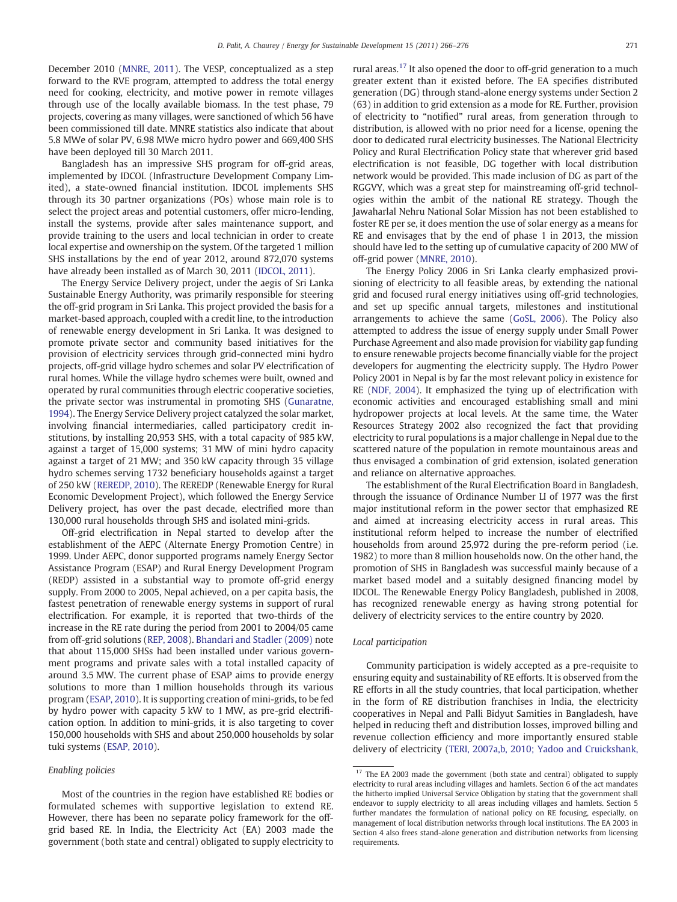December 2010 ([MNRE, 2011\)](#page-10-0). The VESP, conceptualized as a step forward to the RVE program, attempted to address the total energy need for cooking, electricity, and motive power in remote villages through use of the locally available biomass. In the test phase, 79 projects, covering as many villages, were sanctioned of which 56 have been commissioned till date. MNRE statistics also indicate that about 5.8 MWe of solar PV, 6.98 MWe micro hydro power and 669,400 SHS have been deployed till 30 March 2011.

Bangladesh has an impressive SHS program for off-grid areas, implemented by IDCOL (Infrastructure Development Company Limited), a state-owned financial institution. IDCOL implements SHS through its 30 partner organizations (POs) whose main role is to select the project areas and potential customers, offer micro-lending, install the systems, provide after sales maintenance support, and provide training to the users and local technician in order to create local expertise and ownership on the system. Of the targeted 1 million SHS installations by the end of year 2012, around 872,070 systems have already been installed as of March 30, 2011 [\(IDCOL, 2011\)](#page-10-0).

The Energy Service Delivery project, under the aegis of Sri Lanka Sustainable Energy Authority, was primarily responsible for steering the off-grid program in Sri Lanka. This project provided the basis for a market-based approach, coupled with a credit line, to the introduction of renewable energy development in Sri Lanka. It was designed to promote private sector and community based initiatives for the provision of electricity services through grid-connected mini hydro projects, off-grid village hydro schemes and solar PV electrification of rural homes. While the village hydro schemes were built, owned and operated by rural communities through electric cooperative societies, the private sector was instrumental in promoting SHS [\(Gunaratne,](#page-10-0) [1994\)](#page-10-0). The Energy Service Delivery project catalyzed the solar market, involving financial intermediaries, called participatory credit institutions, by installing 20,953 SHS, with a total capacity of 985 kW, against a target of 15,000 systems; 31 MW of mini hydro capacity against a target of 21 MW; and 350 kW capacity through 35 village hydro schemes serving 1732 beneficiary households against a target of 250 kW [\(REREDP, 2010](#page-10-0)). The REREDP (Renewable Energy for Rural Economic Development Project), which followed the Energy Service Delivery project, has over the past decade, electrified more than 130,000 rural households through SHS and isolated mini-grids.

Off-grid electrification in Nepal started to develop after the establishment of the AEPC (Alternate Energy Promotion Centre) in 1999. Under AEPC, donor supported programs namely Energy Sector Assistance Program (ESAP) and Rural Energy Development Program (REDP) assisted in a substantial way to promote off-grid energy supply. From 2000 to 2005, Nepal achieved, on a per capita basis, the fastest penetration of renewable energy systems in support of rural electrification. For example, it is reported that two-thirds of the increase in the RE rate during the period from 2001 to 2004/05 came from off-grid solutions ([REP, 2008](#page-10-0)). [Bhandari and Stadler \(2009\)](#page-9-0) note that about 115,000 SHSs had been installed under various government programs and private sales with a total installed capacity of around 3.5 MW. The current phase of ESAP aims to provide energy solutions to more than 1 million households through its various program [\(ESAP, 2010\)](#page-10-0). It is supporting creation of mini-grids, to be fed by hydro power with capacity 5 kW to 1 MW, as pre-grid electrification option. In addition to mini-grids, it is also targeting to cover 150,000 households with SHS and about 250,000 households by solar tuki systems [\(ESAP, 2010\)](#page-10-0).

# Enabling policies

Most of the countries in the region have established RE bodies or formulated schemes with supportive legislation to extend RE. However, there has been no separate policy framework for the offgrid based RE. In India, the Electricity Act (EA) 2003 made the government (both state and central) obligated to supply electricity to

rural areas.<sup>17</sup> It also opened the door to off-grid generation to a much greater extent than it existed before. The EA specifies distributed generation (DG) through stand-alone energy systems under Section 2 (63) in addition to grid extension as a mode for RE. Further, provision of electricity to "notified" rural areas, from generation through to distribution, is allowed with no prior need for a license, opening the door to dedicated rural electricity businesses. The National Electricity Policy and Rural Electrification Policy state that wherever grid based electrification is not feasible, DG together with local distribution network would be provided. This made inclusion of DG as part of the RGGVY, which was a great step for mainstreaming off-grid technologies within the ambit of the national RE strategy. Though the Jawaharlal Nehru National Solar Mission has not been established to foster RE per se, it does mention the use of solar energy as a means for RE and envisages that by the end of phase 1 in 2013, the mission should have led to the setting up of cumulative capacity of 200 MW of off-grid power ([MNRE, 2010\)](#page-10-0).

The Energy Policy 2006 in Sri Lanka clearly emphasized provisioning of electricity to all feasible areas, by extending the national grid and focused rural energy initiatives using off-grid technologies, and set up specific annual targets, milestones and institutional arrangements to achieve the same ([GoSL, 2006](#page-10-0)). The Policy also attempted to address the issue of energy supply under Small Power Purchase Agreement and also made provision for viability gap funding to ensure renewable projects become financially viable for the project developers for augmenting the electricity supply. The Hydro Power Policy 2001 in Nepal is by far the most relevant policy in existence for RE ([NDF, 2004\)](#page-10-0). It emphasized the tying up of electrification with economic activities and encouraged establishing small and mini hydropower projects at local levels. At the same time, the Water Resources Strategy 2002 also recognized the fact that providing electricity to rural populations is a major challenge in Nepal due to the scattered nature of the population in remote mountainous areas and thus envisaged a combination of grid extension, isolated generation and reliance on alternative approaches.

The establishment of the Rural Electrification Board in Bangladesh, through the issuance of Ordinance Number LI of 1977 was the first major institutional reform in the power sector that emphasized RE and aimed at increasing electricity access in rural areas. This institutional reform helped to increase the number of electrified households from around 25,972 during the pre-reform period (i.e. 1982) to more than 8 million households now. On the other hand, the promotion of SHS in Bangladesh was successful mainly because of a market based model and a suitably designed financing model by IDCOL. The Renewable Energy Policy Bangladesh, published in 2008, has recognized renewable energy as having strong potential for delivery of electricity services to the entire country by 2020.

#### Local participation

Community participation is widely accepted as a pre-requisite to ensuring equity and sustainability of RE efforts. It is observed from the RE efforts in all the study countries, that local participation, whether in the form of RE distribution franchises in India, the electricity cooperatives in Nepal and Palli Bidyut Samities in Bangladesh, have helped in reducing theft and distribution losses, improved billing and revenue collection efficiency and more importantly ensured stable delivery of electricity [\(TERI, 2007a,b, 2010; Yadoo and Cruickshank,](#page-10-0)

<sup>&</sup>lt;sup>17</sup> The EA 2003 made the government (both state and central) obligated to supply electricity to rural areas including villages and hamlets. Section 6 of the act mandates the hitherto implied Universal Service Obligation by stating that the government shall endeavor to supply electricity to all areas including villages and hamlets. Section 5 further mandates the formulation of national policy on RE focusing, especially, on management of local distribution networks through local institutions. The EA 2003 in Section 4 also frees stand-alone generation and distribution networks from licensing requirements.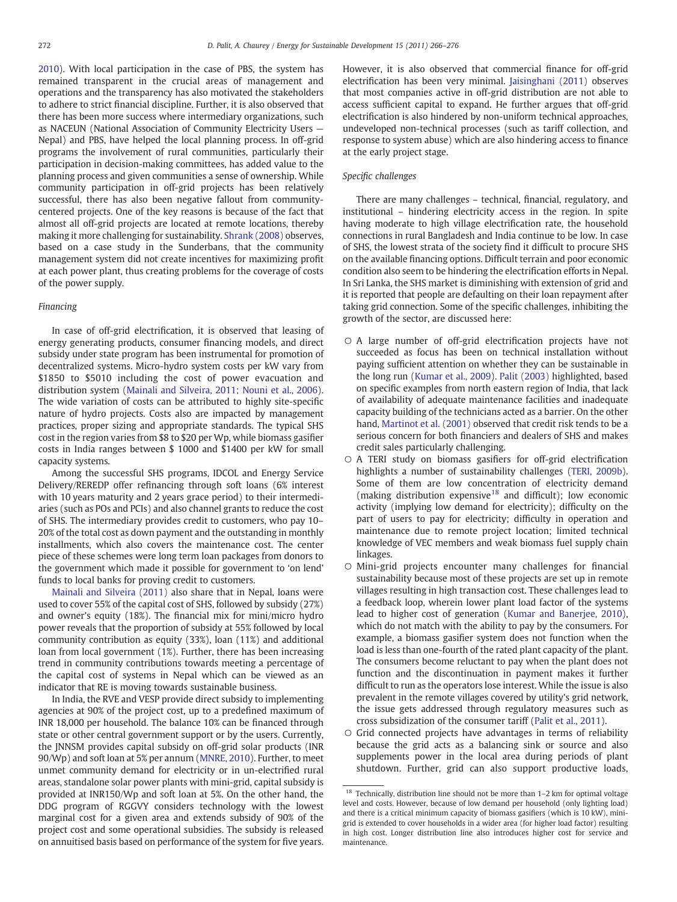[2010\)](#page-10-0). With local participation in the case of PBS, the system has remained transparent in the crucial areas of management and operations and the transparency has also motivated the stakeholders to adhere to strict financial discipline. Further, it is also observed that there has been more success where intermediary organizations, such as NACEUN (National Association of Community Electricity Users — Nepal) and PBS, have helped the local planning process. In off-grid programs the involvement of rural communities, particularly their participation in decision-making committees, has added value to the planning process and given communities a sense of ownership. While community participation in off-grid projects has been relatively successful, there has also been negative fallout from communitycentered projects. One of the key reasons is because of the fact that almost all off-grid projects are located at remote locations, thereby making it more challenging for sustainability. [Shrank \(2008\)](#page-10-0) observes, based on a case study in the Sunderbans, that the community management system did not create incentives for maximizing profit at each power plant, thus creating problems for the coverage of costs of the power supply.

# Financing

In case of off-grid electrification, it is observed that leasing of energy generating products, consumer financing models, and direct subsidy under state program has been instrumental for promotion of decentralized systems. Micro-hydro system costs per kW vary from \$1850 to \$5010 including the cost of power evacuation and distribution system [\(Mainali and Silveira, 2011; Nouni et al., 2006](#page-10-0)). The wide variation of costs can be attributed to highly site-specific nature of hydro projects. Costs also are impacted by management practices, proper sizing and appropriate standards. The typical SHS cost in the region varies from \$8 to \$20 per Wp, while biomass gasifier costs in India ranges between \$ 1000 and \$1400 per kW for small capacity systems.

Among the successful SHS programs, IDCOL and Energy Service Delivery/REREDP offer refinancing through soft loans (6% interest with 10 years maturity and 2 years grace period) to their intermediaries (such as POs and PCIs) and also channel grants to reduce the cost of SHS. The intermediary provides credit to customers, who pay 10– 20% of the total cost as down payment and the outstanding in monthly installments, which also covers the maintenance cost. The center piece of these schemes were long term loan packages from donors to the government which made it possible for government to 'on lend' funds to local banks for proving credit to customers.

[Mainali and Silveira \(2011\)](#page-10-0) also share that in Nepal, loans were used to cover 55% of the capital cost of SHS, followed by subsidy (27%) and owner's equity (18%). The financial mix for mini/micro hydro power reveals that the proportion of subsidy at 55% followed by local community contribution as equity (33%), loan (11%) and additional loan from local government (1%). Further, there has been increasing trend in community contributions towards meeting a percentage of the capital cost of systems in Nepal which can be viewed as an indicator that RE is moving towards sustainable business.

In India, the RVE and VESP provide direct subsidy to implementing agencies at 90% of the project cost, up to a predefined maximum of INR 18,000 per household. The balance 10% can be financed through state or other central government support or by the users. Currently, the JNNSM provides capital subsidy on off-grid solar products (INR 90/Wp) and soft loan at 5% per annum ([MNRE, 2010\)](#page-10-0). Further, to meet unmet community demand for electricity or in un-electrified rural areas, standalone solar power plants with mini-grid, capital subsidy is provided at INR150/Wp and soft loan at 5%. On the other hand, the DDG program of RGGVY considers technology with the lowest marginal cost for a given area and extends subsidy of 90% of the project cost and some operational subsidies. The subsidy is released on annuitised basis based on performance of the system for five years.

However, it is also observed that commercial finance for off-grid electrification has been very minimal. [Jaisinghani \(2011\)](#page-10-0) observes that most companies active in off-grid distribution are not able to access sufficient capital to expand. He further argues that off-grid electrification is also hindered by non-uniform technical approaches, undeveloped non-technical processes (such as tariff collection, and response to system abuse) which are also hindering access to finance at the early project stage.

# Specific challenges

There are many challenges – technical, financial, regulatory, and institutional – hindering electricity access in the region. In spite having moderate to high village electrification rate, the household connections in rural Bangladesh and India continue to be low. In case of SHS, the lowest strata of the society find it difficult to procure SHS on the available financing options. Difficult terrain and poor economic condition also seem to be hindering the electrification efforts in Nepal. In Sri Lanka, the SHS market is diminishing with extension of grid and it is reported that people are defaulting on their loan repayment after taking grid connection. Some of the specific challenges, inhibiting the growth of the sector, are discussed here:

- A large number of off-grid electrification projects have not succeeded as focus has been on technical installation without paying sufficient attention on whether they can be sustainable in the long run [\(Kumar et al., 2009\)](#page-10-0). [Palit \(2003\)](#page-10-0) highlighted, based on specific examples from north eastern region of India, that lack of availability of adequate maintenance facilities and inadequate capacity building of the technicians acted as a barrier. On the other hand, [Martinot et al. \(2001\)](#page-10-0) observed that credit risk tends to be a serious concern for both financiers and dealers of SHS and makes credit sales particularly challenging.
- A TERI study on biomass gasifiers for off-grid electrification highlights a number of sustainability challenges ([TERI, 2009b](#page-10-0)). Some of them are low concentration of electricity demand (making distribution expensive<sup>18</sup> and difficult); low economic activity (implying low demand for electricity); difficulty on the part of users to pay for electricity; difficulty in operation and maintenance due to remote project location; limited technical knowledge of VEC members and weak biomass fuel supply chain linkages.
- Mini-grid projects encounter many challenges for financial sustainability because most of these projects are set up in remote villages resulting in high transaction cost. These challenges lead to a feedback loop, wherein lower plant load factor of the systems lead to higher cost of generation ([Kumar and Banerjee, 2010](#page-10-0)), which do not match with the ability to pay by the consumers. For example, a biomass gasifier system does not function when the load is less than one-fourth of the rated plant capacity of the plant. The consumers become reluctant to pay when the plant does not function and the discontinuation in payment makes it further difficult to run as the operators lose interest. While the issue is also prevalent in the remote villages covered by utility's grid network, the issue gets addressed through regulatory measures such as cross subsidization of the consumer tariff [\(Palit et al., 2011\)](#page-10-0).
- Grid connected projects have advantages in terms of reliability because the grid acts as a balancing sink or source and also supplements power in the local area during periods of plant shutdown. Further, grid can also support productive loads,

<sup>18</sup> Technically, distribution line should not be more than 1–2 km for optimal voltage level and costs. However, because of low demand per household (only lighting load) and there is a critical minimum capacity of biomass gasifiers (which is 10 kW), minigrid is extended to cover households in a wider area (for higher load factor) resulting in high cost. Longer distribution line also introduces higher cost for service and maintenance.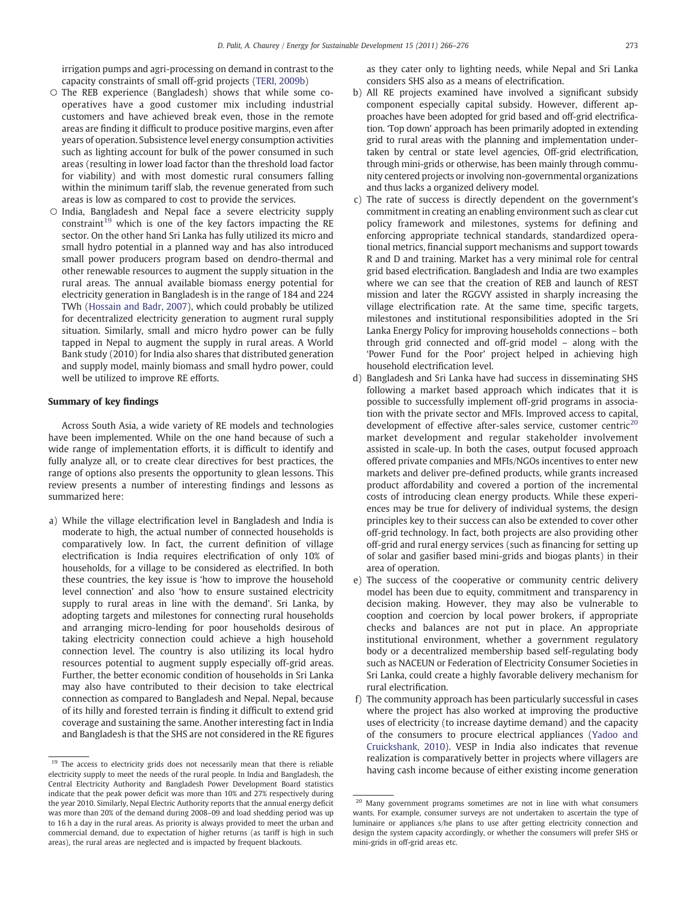irrigation pumps and agri-processing on demand in contrast to the capacity constraints of small off-grid projects [\(TERI, 2009b](#page-10-0))

- The REB experience (Bangladesh) shows that while some cooperatives have a good customer mix including industrial customers and have achieved break even, those in the remote areas are finding it difficult to produce positive margins, even after years of operation. Subsistence level energy consumption activities such as lighting account for bulk of the power consumed in such areas (resulting in lower load factor than the threshold load factor for viability) and with most domestic rural consumers falling within the minimum tariff slab, the revenue generated from such areas is low as compared to cost to provide the services.
- India, Bangladesh and Nepal face a severe electricity supply constraint $19$  which is one of the key factors impacting the RE sector. On the other hand Sri Lanka has fully utilized its micro and small hydro potential in a planned way and has also introduced small power producers program based on dendro-thermal and other renewable resources to augment the supply situation in the rural areas. The annual available biomass energy potential for electricity generation in Bangladesh is in the range of 184 and 224 TWh [\(Hossain and Badr, 2007\)](#page-10-0), which could probably be utilized for decentralized electricity generation to augment rural supply situation. Similarly, small and micro hydro power can be fully tapped in Nepal to augment the supply in rural areas. A World Bank study (2010) for India also shares that distributed generation and supply model, mainly biomass and small hydro power, could well be utilized to improve RE efforts.

# Summary of key findings

Across South Asia, a wide variety of RE models and technologies have been implemented. While on the one hand because of such a wide range of implementation efforts, it is difficult to identify and fully analyze all, or to create clear directives for best practices, the range of options also presents the opportunity to glean lessons. This review presents a number of interesting findings and lessons as summarized here:

a) While the village electrification level in Bangladesh and India is moderate to high, the actual number of connected households is comparatively low. In fact, the current definition of village electrification is India requires electrification of only 10% of households, for a village to be considered as electrified. In both these countries, the key issue is 'how to improve the household level connection' and also 'how to ensure sustained electricity supply to rural areas in line with the demand'. Sri Lanka, by adopting targets and milestones for connecting rural households and arranging micro-lending for poor households desirous of taking electricity connection could achieve a high household connection level. The country is also utilizing its local hydro resources potential to augment supply especially off-grid areas. Further, the better economic condition of households in Sri Lanka may also have contributed to their decision to take electrical connection as compared to Bangladesh and Nepal. Nepal, because of its hilly and forested terrain is finding it difficult to extend grid coverage and sustaining the same. Another interesting fact in India and Bangladesh is that the SHS are not considered in the RE figures

as they cater only to lighting needs, while Nepal and Sri Lanka considers SHS also as a means of electrification.

- b) All RE projects examined have involved a significant subsidy component especially capital subsidy. However, different approaches have been adopted for grid based and off-grid electrification. 'Top down' approach has been primarily adopted in extending grid to rural areas with the planning and implementation undertaken by central or state level agencies, Off-grid electrification, through mini-grids or otherwise, has been mainly through community centered projects or involving non-governmental organizations and thus lacks a organized delivery model.
- c) The rate of success is directly dependent on the government's commitment in creating an enabling environment such as clear cut policy framework and milestones, systems for defining and enforcing appropriate technical standards, standardized operational metrics, financial support mechanisms and support towards R and D and training. Market has a very minimal role for central grid based electrification. Bangladesh and India are two examples where we can see that the creation of REB and launch of REST mission and later the RGGVY assisted in sharply increasing the village electrification rate. At the same time, specific targets, milestones and institutional responsibilities adopted in the Sri Lanka Energy Policy for improving households connections – both through grid connected and off-grid model – along with the 'Power Fund for the Poor' project helped in achieving high household electrification level.
- Bangladesh and Sri Lanka have had success in disseminating SHS following a market based approach which indicates that it is possible to successfully implement off-grid programs in association with the private sector and MFIs. Improved access to capital, development of effective after-sales service, customer centric<sup>20</sup> market development and regular stakeholder involvement assisted in scale-up. In both the cases, output focused approach offered private companies and MFIs/NGOs incentives to enter new markets and deliver pre-defined products, while grants increased product affordability and covered a portion of the incremental costs of introducing clean energy products. While these experiences may be true for delivery of individual systems, the design principles key to their success can also be extended to cover other off-grid technology. In fact, both projects are also providing other off-grid and rural energy services (such as financing for setting up of solar and gasifier based mini-grids and biogas plants) in their area of operation.
- e) The success of the cooperative or community centric delivery model has been due to equity, commitment and transparency in decision making. However, they may also be vulnerable to cooption and coercion by local power brokers, if appropriate checks and balances are not put in place. An appropriate institutional environment, whether a government regulatory body or a decentralized membership based self-regulating body such as NACEUN or Federation of Electricity Consumer Societies in Sri Lanka, could create a highly favorable delivery mechanism for rural electrification.
- f) The community approach has been particularly successful in cases where the project has also worked at improving the productive uses of electricity (to increase daytime demand) and the capacity of the consumers to procure electrical appliances [\(Yadoo and](#page-10-0) [Cruickshank, 2010\)](#page-10-0). VESP in India also indicates that revenue realization is comparatively better in projects where villagers are having cash income because of either existing income generation

<sup>&</sup>lt;sup>19</sup> The access to electricity grids does not necessarily mean that there is reliable electricity supply to meet the needs of the rural people. In India and Bangladesh, the Central Electricity Authority and Bangladesh Power Development Board statistics indicate that the peak power deficit was more than 10% and 27% respectively during the year 2010. Similarly, Nepal Electric Authority reports that the annual energy deficit was more than 20% of the demand during 2008–09 and load shedding period was up to 16 h a day in the rural areas. As priority is always provided to meet the urban and commercial demand, due to expectation of higher returns (as tariff is high in such areas), the rural areas are neglected and is impacted by frequent blackouts.

 $20$  Many government programs sometimes are not in line with what consumers wants. For example, consumer surveys are not undertaken to ascertain the type of luminaire or appliances s/he plans to use after getting electricity connection and design the system capacity accordingly, or whether the consumers will prefer SHS or mini-grids in off-grid areas etc.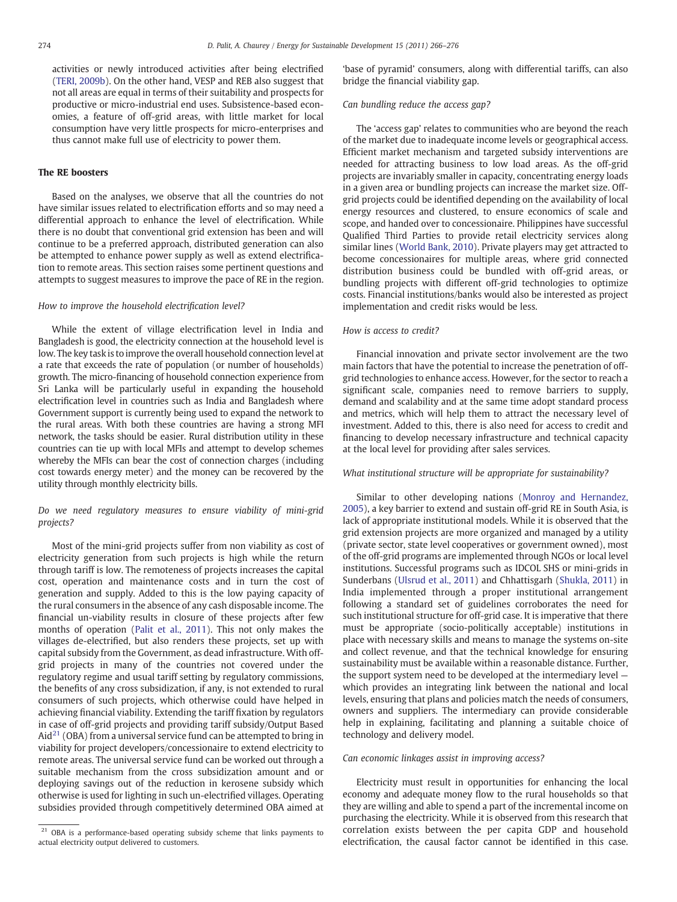activities or newly introduced activities after being electrified [\(TERI, 2009b](#page-10-0)). On the other hand, VESP and REB also suggest that not all areas are equal in terms of their suitability and prospects for productive or micro-industrial end uses. Subsistence-based economies, a feature of off-grid areas, with little market for local consumption have very little prospects for micro-enterprises and thus cannot make full use of electricity to power them.

# The RE boosters

Based on the analyses, we observe that all the countries do not have similar issues related to electrification efforts and so may need a differential approach to enhance the level of electrification. While there is no doubt that conventional grid extension has been and will continue to be a preferred approach, distributed generation can also be attempted to enhance power supply as well as extend electrification to remote areas. This section raises some pertinent questions and attempts to suggest measures to improve the pace of RE in the region.

### How to improve the household electrification level?

While the extent of village electrification level in India and Bangladesh is good, the electricity connection at the household level is low. The key task is to improve the overall household connection level at a rate that exceeds the rate of population (or number of households) growth. The micro-financing of household connection experience from Sri Lanka will be particularly useful in expanding the household electrification level in countries such as India and Bangladesh where Government support is currently being used to expand the network to the rural areas. With both these countries are having a strong MFI network, the tasks should be easier. Rural distribution utility in these countries can tie up with local MFIs and attempt to develop schemes whereby the MFIs can bear the cost of connection charges (including cost towards energy meter) and the money can be recovered by the utility through monthly electricity bills.

# Do we need regulatory measures to ensure viability of mini-grid projects?

Most of the mini-grid projects suffer from non viability as cost of electricity generation from such projects is high while the return through tariff is low. The remoteness of projects increases the capital cost, operation and maintenance costs and in turn the cost of generation and supply. Added to this is the low paying capacity of the rural consumers in the absence of any cash disposable income. The financial un-viability results in closure of these projects after few months of operation ([Palit et al., 2011\)](#page-10-0). This not only makes the villages de-electrified, but also renders these projects, set up with capital subsidy from the Government, as dead infrastructure. With offgrid projects in many of the countries not covered under the regulatory regime and usual tariff setting by regulatory commissions, the benefits of any cross subsidization, if any, is not extended to rural consumers of such projects, which otherwise could have helped in achieving financial viability. Extending the tariff fixation by regulators in case of off-grid projects and providing tariff subsidy/Output Based  $\text{Aid}^{21}$  (OBA) from a universal service fund can be attempted to bring in viability for project developers/concessionaire to extend electricity to remote areas. The universal service fund can be worked out through a suitable mechanism from the cross subsidization amount and or deploying savings out of the reduction in kerosene subsidy which otherwise is used for lighting in such un-electrified villages. Operating subsidies provided through competitively determined OBA aimed at

'base of pyramid' consumers, along with differential tariffs, can also bridge the financial viability gap.

### Can bundling reduce the access gap?

The 'access gap' relates to communities who are beyond the reach of the market due to inadequate income levels or geographical access. Efficient market mechanism and targeted subsidy interventions are needed for attracting business to low load areas. As the off-grid projects are invariably smaller in capacity, concentrating energy loads in a given area or bundling projects can increase the market size. Offgrid projects could be identified depending on the availability of local energy resources and clustered, to ensure economics of scale and scope, and handed over to concessionaire. Philippines have successful Qualified Third Parties to provide retail electricity services along similar lines [\(World Bank, 2010\)](#page-10-0). Private players may get attracted to become concessionaires for multiple areas, where grid connected distribution business could be bundled with off-grid areas, or bundling projects with different off-grid technologies to optimize costs. Financial institutions/banks would also be interested as project implementation and credit risks would be less.

#### How is access to credit?

Financial innovation and private sector involvement are the two main factors that have the potential to increase the penetration of offgrid technologies to enhance access. However, for the sector to reach a significant scale, companies need to remove barriers to supply, demand and scalability and at the same time adopt standard process and metrics, which will help them to attract the necessary level of investment. Added to this, there is also need for access to credit and financing to develop necessary infrastructure and technical capacity at the local level for providing after sales services.

### What institutional structure will be appropriate for sustainability?

Similar to other developing nations ([Monroy and Hernandez,](#page-10-0) [2005\)](#page-10-0), a key barrier to extend and sustain off-grid RE in South Asia, is lack of appropriate institutional models. While it is observed that the grid extension projects are more organized and managed by a utility (private sector, state level cooperatives or government owned), most of the off-grid programs are implemented through NGOs or local level institutions. Successful programs such as IDCOL SHS or mini-grids in Sunderbans ([Ulsrud et al., 2011\)](#page-10-0) and Chhattisgarh [\(Shukla, 2011\)](#page-10-0) in India implemented through a proper institutional arrangement following a standard set of guidelines corroborates the need for such institutional structure for off-grid case. It is imperative that there must be appropriate (socio-politically acceptable) institutions in place with necessary skills and means to manage the systems on-site and collect revenue, and that the technical knowledge for ensuring sustainability must be available within a reasonable distance. Further, the support system need to be developed at the intermediary level which provides an integrating link between the national and local levels, ensuring that plans and policies match the needs of consumers, owners and suppliers. The intermediary can provide considerable help in explaining, facilitating and planning a suitable choice of technology and delivery model.

#### Can economic linkages assist in improving access?

Electricity must result in opportunities for enhancing the local economy and adequate money flow to the rural households so that they are willing and able to spend a part of the incremental income on purchasing the electricity. While it is observed from this research that correlation exists between the per capita GDP and household electrification, the causal factor cannot be identified in this case.

<sup>&</sup>lt;sup>21</sup> OBA is a performance-based operating subsidy scheme that links payments to actual electricity output delivered to customers.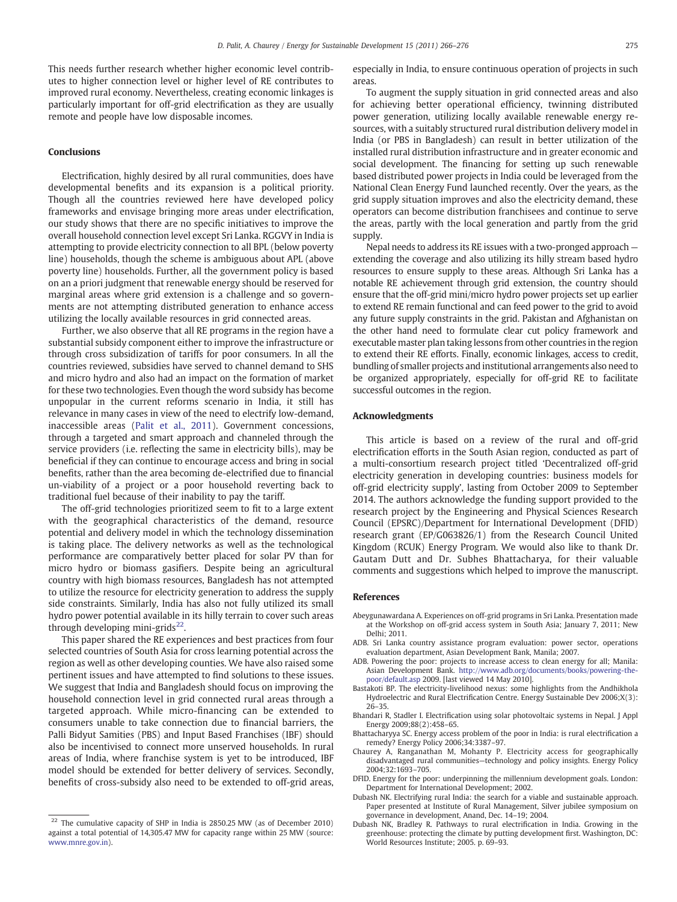<span id="page-9-0"></span>This needs further research whether higher economic level contributes to higher connection level or higher level of RE contributes to improved rural economy. Nevertheless, creating economic linkages is particularly important for off-grid electrification as they are usually remote and people have low disposable incomes.

# **Conclusions**

Electrification, highly desired by all rural communities, does have developmental benefits and its expansion is a political priority. Though all the countries reviewed here have developed policy frameworks and envisage bringing more areas under electrification, our study shows that there are no specific initiatives to improve the overall household connection level except Sri Lanka. RGGVY in India is attempting to provide electricity connection to all BPL (below poverty line) households, though the scheme is ambiguous about APL (above poverty line) households. Further, all the government policy is based on an a priori judgment that renewable energy should be reserved for marginal areas where grid extension is a challenge and so governments are not attempting distributed generation to enhance access utilizing the locally available resources in grid connected areas.

Further, we also observe that all RE programs in the region have a substantial subsidy component either to improve the infrastructure or through cross subsidization of tariffs for poor consumers. In all the countries reviewed, subsidies have served to channel demand to SHS and micro hydro and also had an impact on the formation of market for these two technologies. Even though the word subsidy has become unpopular in the current reforms scenario in India, it still has relevance in many cases in view of the need to electrify low-demand, inaccessible areas [\(Palit et al., 2011\)](#page-10-0). Government concessions, through a targeted and smart approach and channeled through the service providers (i.e. reflecting the same in electricity bills), may be beneficial if they can continue to encourage access and bring in social benefits, rather than the area becoming de-electrified due to financial un-viability of a project or a poor household reverting back to traditional fuel because of their inability to pay the tariff.

The off-grid technologies prioritized seem to fit to a large extent with the geographical characteristics of the demand, resource potential and delivery model in which the technology dissemination is taking place. The delivery networks as well as the technological performance are comparatively better placed for solar PV than for micro hydro or biomass gasifiers. Despite being an agricultural country with high biomass resources, Bangladesh has not attempted to utilize the resource for electricity generation to address the supply side constraints. Similarly, India has also not fully utilized its small hydro power potential available in its hilly terrain to cover such areas through developing mini-grids $^{22}$ .

This paper shared the RE experiences and best practices from four selected countries of South Asia for cross learning potential across the region as well as other developing counties. We have also raised some pertinent issues and have attempted to find solutions to these issues. We suggest that India and Bangladesh should focus on improving the household connection level in grid connected rural areas through a targeted approach. While micro-financing can be extended to consumers unable to take connection due to financial barriers, the Palli Bidyut Samities (PBS) and Input Based Franchises (IBF) should also be incentivised to connect more unserved households. In rural areas of India, where franchise system is yet to be introduced, IBF model should be extended for better delivery of services. Secondly, benefits of cross-subsidy also need to be extended to off-grid areas, especially in India, to ensure continuous operation of projects in such areas.

To augment the supply situation in grid connected areas and also for achieving better operational efficiency, twinning distributed power generation, utilizing locally available renewable energy resources, with a suitably structured rural distribution delivery model in India (or PBS in Bangladesh) can result in better utilization of the installed rural distribution infrastructure and in greater economic and social development. The financing for setting up such renewable based distributed power projects in India could be leveraged from the National Clean Energy Fund launched recently. Over the years, as the grid supply situation improves and also the electricity demand, these operators can become distribution franchisees and continue to serve the areas, partly with the local generation and partly from the grid supply.

Nepal needs to address its RE issues with a two-pronged approach extending the coverage and also utilizing its hilly stream based hydro resources to ensure supply to these areas. Although Sri Lanka has a notable RE achievement through grid extension, the country should ensure that the off-grid mini/micro hydro power projects set up earlier to extend RE remain functional and can feed power to the grid to avoid any future supply constraints in the grid. Pakistan and Afghanistan on the other hand need to formulate clear cut policy framework and executable master plan taking lessons from other countries in the region to extend their RE efforts. Finally, economic linkages, access to credit, bundling of smaller projects and institutional arrangements also need to be organized appropriately, especially for off-grid RE to facilitate successful outcomes in the region.

# Acknowledgments

This article is based on a review of the rural and off-grid electrification efforts in the South Asian region, conducted as part of a multi-consortium research project titled 'Decentralized off-grid electricity generation in developing countries: business models for off-grid electricity supply', lasting from October 2009 to September 2014. The authors acknowledge the funding support provided to the research project by the Engineering and Physical Sciences Research Council (EPSRC)/Department for International Development (DFID) research grant (EP/G063826/1) from the Research Council United Kingdom (RCUK) Energy Program. We would also like to thank Dr. Gautam Dutt and Dr. Subhes Bhattacharya, for their valuable comments and suggestions which helped to improve the manuscript.

#### References

- Abeygunawardana A. Experiences on off-grid programs in Sri Lanka. Presentation made at the Workshop on off-grid access system in South Asia; January 7, 2011; New Delhi; 2011.
- ADB. Sri Lanka country assistance program evaluation: power sector, operations evaluation department, Asian Development Bank, Manila; 2007.
- ADB. Powering the poor: projects to increase access to clean energy for all; Manila: Asian Development Bank. [http://www.adb.org/documents/books/powering-the](http://www.adb.org/documents/books/powering-the-poor/default.asp)[poor/default.asp](http://www.adb.org/documents/books/powering-the-poor/default.asp) 2009. [last viewed 14 May 2010].
- Bastakoti BP. The electricity-livelihood nexus: some highlights from the Andhikhola Hydroelectric and Rural Electrification Centre. Energy Sustainable Dev 2006;X(3): 26–35.
- Bhandari R, Stadler I. Electrification using solar photovoltaic systems in Nepal. J Appl Energy 2009;88(2):458–65.
- Bhattacharyya SC. Energy access problem of the poor in India: is rural electrification a remedy? Energy Policy 2006;34:3387–97.
- Chaurey A, Ranganathan M, Mohanty P. Electricity access for geographically disadvantaged rural communities—technology and policy insights. Energy Policy 2004;32:1693–705.
- DFID. Energy for the poor: underpinning the millennium development goals. London: Department for International Development; 2002.
- Dubash NK. Electrifying rural India: the search for a viable and sustainable approach. Paper presented at Institute of Rural Management, Silver jubilee symposium on governance in development, Anand, Dec. 14–19; 2004.
- Dubash NK, Bradley R. Pathways to rural electrification in India. Growing in the greenhouse: protecting the climate by putting development first. Washington, DC: World Resources Institute; 2005. p. 69–93.

<sup>&</sup>lt;sup>22</sup> The cumulative capacity of SHP in India is 2850.25 MW (as of December 2010) against a total potential of 14,305.47 MW for capacity range within 25 MW (source: [www.mnre.gov.in](http://www.mnre.gov.in)).